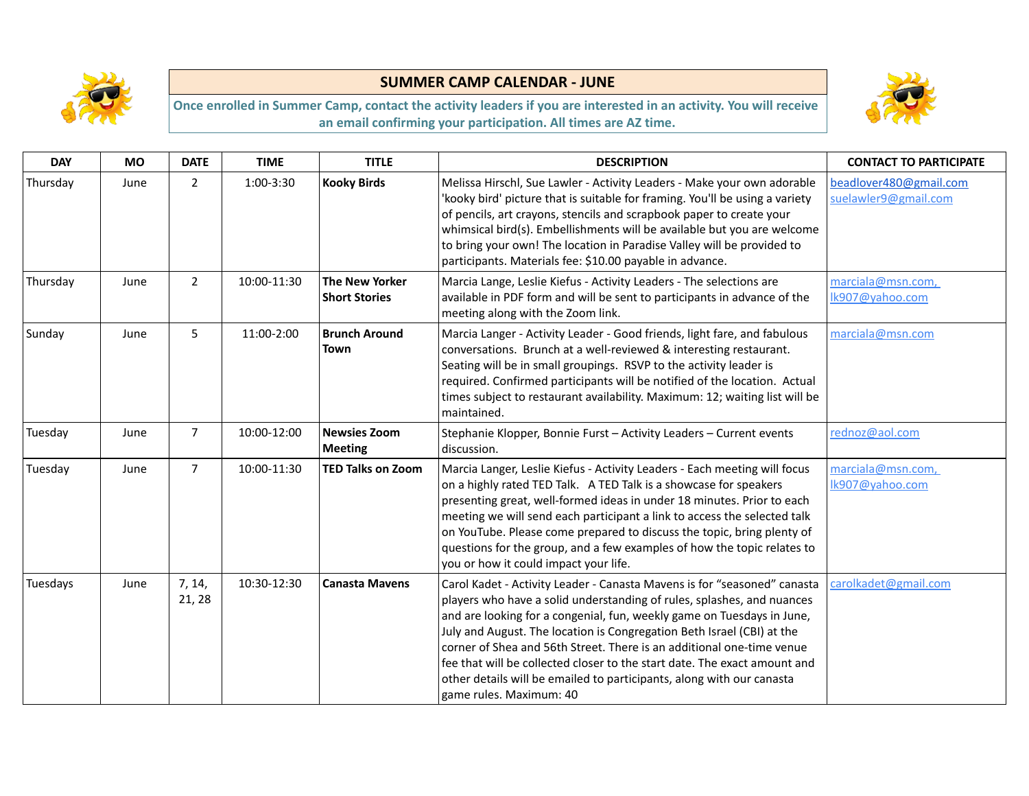



| <b>DAY</b> | <b>MO</b> | <b>DATE</b>      | <b>TIME</b> | <b>TITLE</b>                                  | <b>DESCRIPTION</b>                                                                                                                                                                                                                                                                                                                                                                                                                                                                                                                                               | <b>CONTACT TO PARTICIPATE</b>                  |
|------------|-----------|------------------|-------------|-----------------------------------------------|------------------------------------------------------------------------------------------------------------------------------------------------------------------------------------------------------------------------------------------------------------------------------------------------------------------------------------------------------------------------------------------------------------------------------------------------------------------------------------------------------------------------------------------------------------------|------------------------------------------------|
| Thursday   | June      | $\overline{2}$   | 1:00-3:30   | <b>Kooky Birds</b>                            | Melissa Hirschl, Sue Lawler - Activity Leaders - Make your own adorable<br>'kooky bird' picture that is suitable for framing. You'll be using a variety<br>of pencils, art crayons, stencils and scrapbook paper to create your<br>whimsical bird(s). Embellishments will be available but you are welcome<br>to bring your own! The location in Paradise Valley will be provided to<br>participants. Materials fee: \$10.00 payable in advance.                                                                                                                 | beadlover480@gmail.com<br>suelawler9@gmail.com |
| Thursday   | June      | $\overline{2}$   | 10:00-11:30 | <b>The New Yorker</b><br><b>Short Stories</b> | Marcia Lange, Leslie Kiefus - Activity Leaders - The selections are<br>available in PDF form and will be sent to participants in advance of the<br>meeting along with the Zoom link.                                                                                                                                                                                                                                                                                                                                                                             | marciala@msn.com,<br>Ik907@yahoo.com           |
| Sunday     | June      | 5                | 11:00-2:00  | <b>Brunch Around</b><br><b>Town</b>           | Marcia Langer - Activity Leader - Good friends, light fare, and fabulous<br>conversations. Brunch at a well-reviewed & interesting restaurant.<br>Seating will be in small groupings. RSVP to the activity leader is<br>required. Confirmed participants will be notified of the location. Actual<br>times subject to restaurant availability. Maximum: 12; waiting list will be<br>maintained.                                                                                                                                                                  | marciala@msn.com                               |
| Tuesday    | June      | $\overline{7}$   | 10:00-12:00 | <b>Newsies Zoom</b><br><b>Meeting</b>         | Stephanie Klopper, Bonnie Furst - Activity Leaders - Current events<br>discussion.                                                                                                                                                                                                                                                                                                                                                                                                                                                                               | rednoz@aol.com                                 |
| Tuesday    | June      | $\overline{7}$   | 10:00-11:30 | <b>TED Talks on Zoom</b>                      | Marcia Langer, Leslie Kiefus - Activity Leaders - Each meeting will focus<br>on a highly rated TED Talk. A TED Talk is a showcase for speakers<br>presenting great, well-formed ideas in under 18 minutes. Prior to each<br>meeting we will send each participant a link to access the selected talk<br>on YouTube. Please come prepared to discuss the topic, bring plenty of<br>questions for the group, and a few examples of how the topic relates to<br>you or how it could impact your life.                                                               | marciala@msn.com,<br>Ik907@yahoo.com           |
| Tuesdays   | June      | 7, 14,<br>21, 28 | 10:30-12:30 | <b>Canasta Mavens</b>                         | Carol Kadet - Activity Leader - Canasta Mavens is for "seasoned" canasta<br>players who have a solid understanding of rules, splashes, and nuances<br>and are looking for a congenial, fun, weekly game on Tuesdays in June,<br>July and August. The location is Congregation Beth Israel (CBI) at the<br>corner of Shea and 56th Street. There is an additional one-time venue<br>fee that will be collected closer to the start date. The exact amount and<br>other details will be emailed to participants, along with our canasta<br>game rules. Maximum: 40 | carolkadet@gmail.com                           |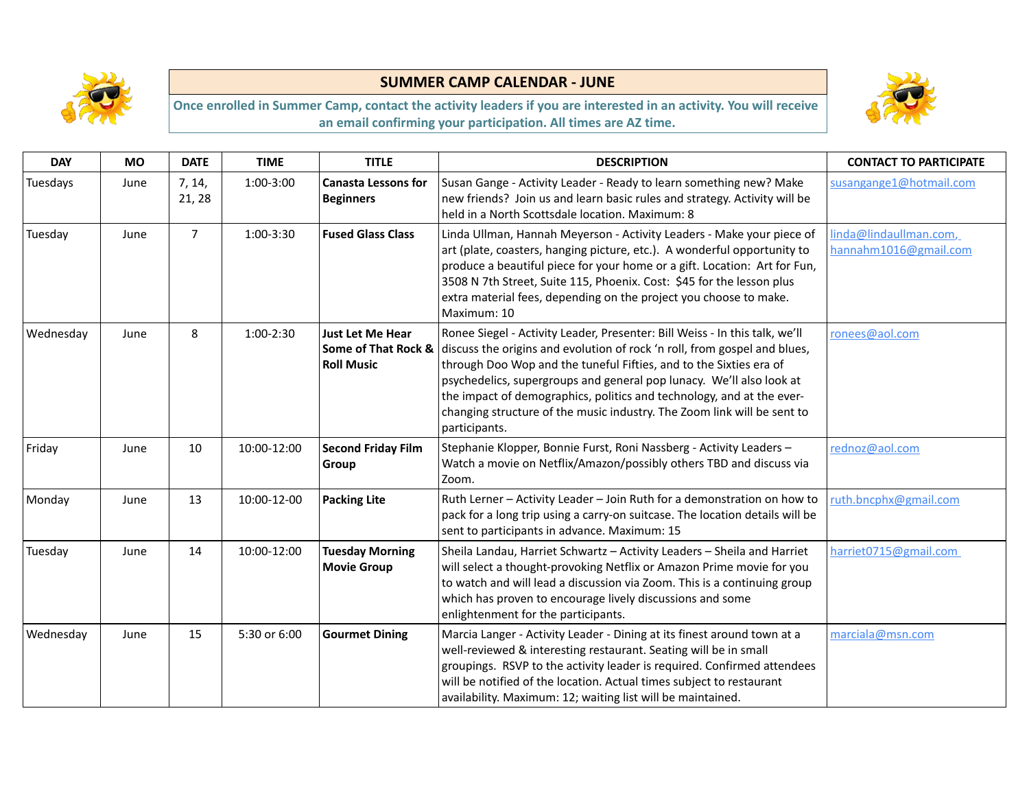



| <b>DAY</b> | <b>MO</b> | <b>DATE</b>      | <b>TIME</b>  | <b>TITLE</b>                                                        | <b>DESCRIPTION</b>                                                                                                                                                                                                                                                                                                                                                                                                                                                          | <b>CONTACT TO PARTICIPATE</b>                   |
|------------|-----------|------------------|--------------|---------------------------------------------------------------------|-----------------------------------------------------------------------------------------------------------------------------------------------------------------------------------------------------------------------------------------------------------------------------------------------------------------------------------------------------------------------------------------------------------------------------------------------------------------------------|-------------------------------------------------|
| Tuesdays   | June      | 7, 14,<br>21, 28 | 1:00-3:00    | <b>Canasta Lessons for</b><br><b>Beginners</b>                      | Susan Gange - Activity Leader - Ready to learn something new? Make<br>new friends? Join us and learn basic rules and strategy. Activity will be<br>held in a North Scottsdale location. Maximum: 8                                                                                                                                                                                                                                                                          | susangange1@hotmail.com                         |
| Tuesday    | June      | $\overline{7}$   | 1:00-3:30    | <b>Fused Glass Class</b>                                            | Linda Ullman, Hannah Meyerson - Activity Leaders - Make your piece of<br>art (plate, coasters, hanging picture, etc.). A wonderful opportunity to<br>produce a beautiful piece for your home or a gift. Location: Art for Fun,<br>3508 N 7th Street, Suite 115, Phoenix. Cost: \$45 for the lesson plus<br>extra material fees, depending on the project you choose to make.<br>Maximum: 10                                                                                 | linda@lindaullman.com,<br>hannahm1016@gmail.com |
| Wednesday  | June      | 8                | $1:00-2:30$  | <b>Just Let Me Hear</b><br>Some of That Rock &<br><b>Roll Music</b> | Ronee Siegel - Activity Leader, Presenter: Bill Weiss - In this talk, we'll<br>discuss the origins and evolution of rock 'n roll, from gospel and blues,<br>through Doo Wop and the tuneful Fifties, and to the Sixties era of<br>psychedelics, supergroups and general pop lunacy. We'll also look at<br>the impact of demographics, politics and technology, and at the ever-<br>changing structure of the music industry. The Zoom link will be sent to<br>participants. | ronees@aol.com                                  |
| Friday     | June      | 10               | 10:00-12:00  | <b>Second Friday Film</b><br>Group                                  | Stephanie Klopper, Bonnie Furst, Roni Nassberg - Activity Leaders -<br>Watch a movie on Netflix/Amazon/possibly others TBD and discuss via<br>Zoom.                                                                                                                                                                                                                                                                                                                         | rednoz@aol.com                                  |
| Monday     | June      | 13               | 10:00-12-00  | <b>Packing Lite</b>                                                 | Ruth Lerner - Activity Leader - Join Ruth for a demonstration on how to<br>pack for a long trip using a carry-on suitcase. The location details will be<br>sent to participants in advance. Maximum: 15                                                                                                                                                                                                                                                                     | ruth.bncphx@gmail.com                           |
| Tuesday    | June      | 14               | 10:00-12:00  | <b>Tuesday Morning</b><br><b>Movie Group</b>                        | Sheila Landau, Harriet Schwartz - Activity Leaders - Sheila and Harriet<br>will select a thought-provoking Netflix or Amazon Prime movie for you<br>to watch and will lead a discussion via Zoom. This is a continuing group<br>which has proven to encourage lively discussions and some<br>enlightenment for the participants.                                                                                                                                            | harriet0715@gmail.com                           |
| Wednesday  | June      | 15               | 5:30 or 6:00 | <b>Gourmet Dining</b>                                               | Marcia Langer - Activity Leader - Dining at its finest around town at a<br>well-reviewed & interesting restaurant. Seating will be in small<br>groupings. RSVP to the activity leader is required. Confirmed attendees<br>will be notified of the location. Actual times subject to restaurant<br>availability. Maximum: 12; waiting list will be maintained.                                                                                                               | marciala@msn.com                                |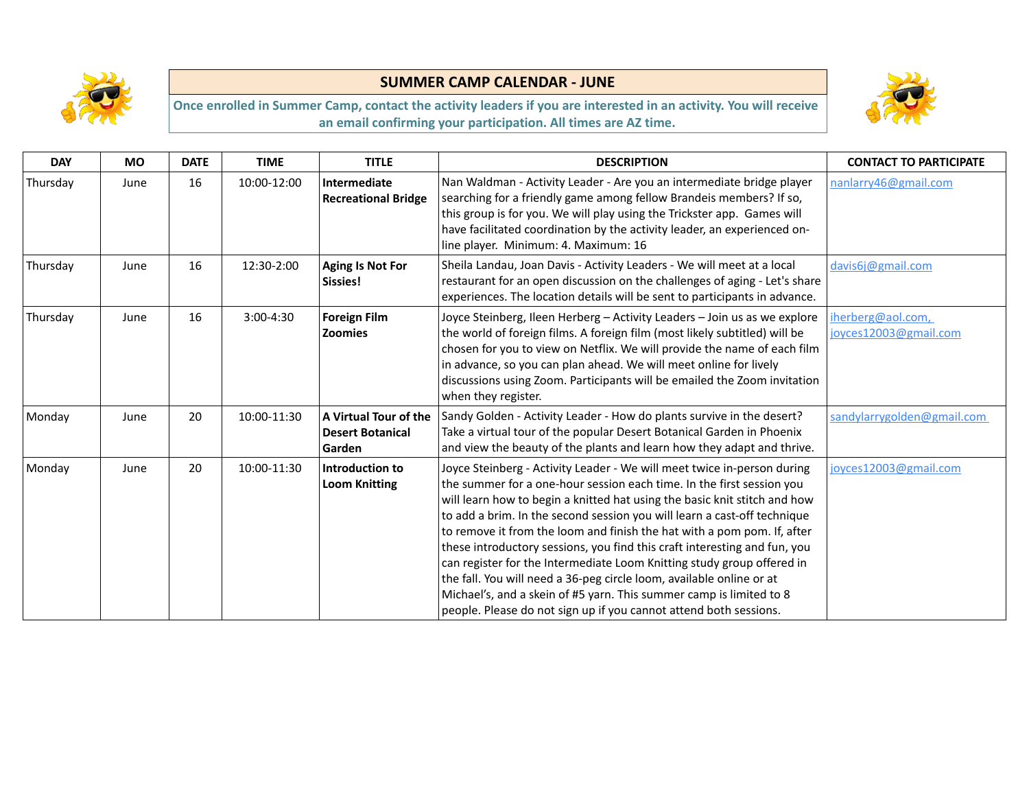



| <b>DAY</b> | <b>MO</b> | <b>DATE</b> | <b>TIME</b> | <b>TITLE</b>                                               | <b>DESCRIPTION</b>                                                                                                                                                                                                                                                                                                                                                                                                                                                                                                                                                                                                                                                                                                                                              | <b>CONTACT TO PARTICIPATE</b>              |
|------------|-----------|-------------|-------------|------------------------------------------------------------|-----------------------------------------------------------------------------------------------------------------------------------------------------------------------------------------------------------------------------------------------------------------------------------------------------------------------------------------------------------------------------------------------------------------------------------------------------------------------------------------------------------------------------------------------------------------------------------------------------------------------------------------------------------------------------------------------------------------------------------------------------------------|--------------------------------------------|
| Thursday   | June      | 16          | 10:00-12:00 | Intermediate<br><b>Recreational Bridge</b>                 | Nan Waldman - Activity Leader - Are you an intermediate bridge player<br>searching for a friendly game among fellow Brandeis members? If so,<br>this group is for you. We will play using the Trickster app. Games will<br>have facilitated coordination by the activity leader, an experienced on-<br>line player. Minimum: 4. Maximum: 16                                                                                                                                                                                                                                                                                                                                                                                                                     | nanlarry46@gmail.com                       |
| Thursday   | June      | 16          | 12:30-2:00  | Aging Is Not For<br>Sissies!                               | Sheila Landau, Joan Davis - Activity Leaders - We will meet at a local<br>restaurant for an open discussion on the challenges of aging - Let's share<br>experiences. The location details will be sent to participants in advance.                                                                                                                                                                                                                                                                                                                                                                                                                                                                                                                              | davis6j@gmail.com                          |
| Thursday   | June      | 16          | 3:00-4:30   | <b>Foreign Film</b><br><b>Zoomies</b>                      | Joyce Steinberg, Ileen Herberg - Activity Leaders - Join us as we explore<br>the world of foreign films. A foreign film (most likely subtitled) will be<br>chosen for you to view on Netflix. We will provide the name of each film<br>in advance, so you can plan ahead. We will meet online for lively<br>discussions using Zoom. Participants will be emailed the Zoom invitation<br>when they register.                                                                                                                                                                                                                                                                                                                                                     | iherberg@aol.com,<br>joyces12003@gmail.com |
| Monday     | June      | 20          | 10:00-11:30 | A Virtual Tour of the<br><b>Desert Botanical</b><br>Garden | Sandy Golden - Activity Leader - How do plants survive in the desert?<br>Take a virtual tour of the popular Desert Botanical Garden in Phoenix<br>and view the beauty of the plants and learn how they adapt and thrive.                                                                                                                                                                                                                                                                                                                                                                                                                                                                                                                                        | sandylarrygolden@gmail.com                 |
| Monday     | June      | 20          | 10:00-11:30 | Introduction to<br><b>Loom Knitting</b>                    | Joyce Steinberg - Activity Leader - We will meet twice in-person during<br>the summer for a one-hour session each time. In the first session you<br>will learn how to begin a knitted hat using the basic knit stitch and how<br>to add a brim. In the second session you will learn a cast-off technique<br>to remove it from the loom and finish the hat with a pom pom. If, after<br>these introductory sessions, you find this craft interesting and fun, you<br>can register for the Intermediate Loom Knitting study group offered in<br>the fall. You will need a 36-peg circle loom, available online or at<br>Michael's, and a skein of #5 yarn. This summer camp is limited to 8<br>people. Please do not sign up if you cannot attend both sessions. | joyces12003@gmail.com                      |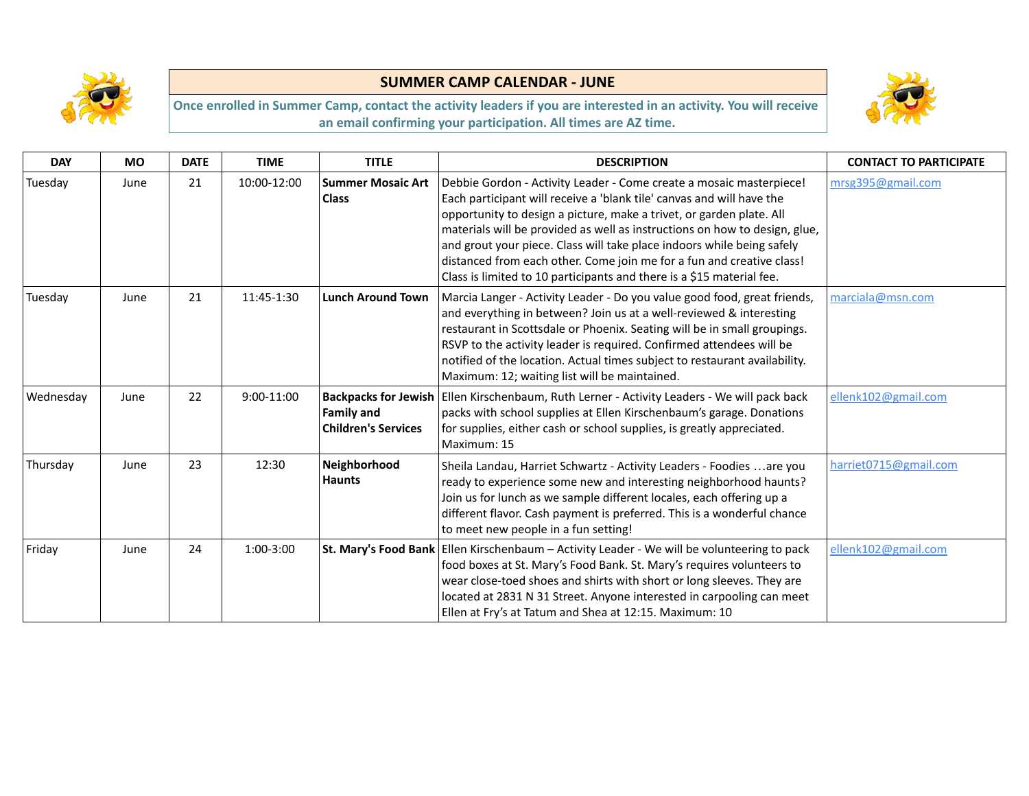



| <b>DAY</b> | <b>MO</b> | <b>DATE</b> | <b>TIME</b> | <b>TITLE</b>                                    | <b>DESCRIPTION</b>                                                                                                                                                                                                                                                                                                                                                                                                                                                                                                             | <b>CONTACT TO PARTICIPATE</b> |
|------------|-----------|-------------|-------------|-------------------------------------------------|--------------------------------------------------------------------------------------------------------------------------------------------------------------------------------------------------------------------------------------------------------------------------------------------------------------------------------------------------------------------------------------------------------------------------------------------------------------------------------------------------------------------------------|-------------------------------|
| Tuesday    | June      | 21          | 10:00-12:00 | <b>Summer Mosaic Art</b><br><b>Class</b>        | Debbie Gordon - Activity Leader - Come create a mosaic masterpiece!<br>Each participant will receive a 'blank tile' canvas and will have the<br>opportunity to design a picture, make a trivet, or garden plate. All<br>materials will be provided as well as instructions on how to design, glue,<br>and grout your piece. Class will take place indoors while being safely<br>distanced from each other. Come join me for a fun and creative class!<br>Class is limited to 10 participants and there is a \$15 material fee. | mrsg395@gmail.com             |
| Tuesday    | June      | 21          | 11:45-1:30  | <b>Lunch Around Town</b>                        | Marcia Langer - Activity Leader - Do you value good food, great friends,<br>and everything in between? Join us at a well-reviewed & interesting<br>restaurant in Scottsdale or Phoenix. Seating will be in small groupings.<br>RSVP to the activity leader is required. Confirmed attendees will be<br>notified of the location. Actual times subject to restaurant availability.<br>Maximum: 12; waiting list will be maintained.                                                                                             | marciala@msn.com              |
| Wednesday  | June      | 22          | 9:00-11:00  | <b>Family and</b><br><b>Children's Services</b> | Backpacks for Jewish   Ellen Kirschenbaum, Ruth Lerner - Activity Leaders - We will pack back<br>packs with school supplies at Ellen Kirschenbaum's garage. Donations<br>for supplies, either cash or school supplies, is greatly appreciated.<br>Maximum: 15                                                                                                                                                                                                                                                                  | ellenk102@gmail.com           |
| Thursday   | June      | 23          | 12:30       | Neighborhood<br><b>Haunts</b>                   | Sheila Landau, Harriet Schwartz - Activity Leaders - Foodies  are you<br>ready to experience some new and interesting neighborhood haunts?<br>Join us for lunch as we sample different locales, each offering up a<br>different flavor. Cash payment is preferred. This is a wonderful chance<br>to meet new people in a fun setting!                                                                                                                                                                                          | harriet0715@gmail.com         |
| Friday     | June      | 24          | 1:00-3:00   |                                                 | St. Mary's Food Bank   Ellen Kirschenbaum - Activity Leader - We will be volunteering to pack<br>food boxes at St. Mary's Food Bank. St. Mary's requires volunteers to<br>wear close-toed shoes and shirts with short or long sleeves. They are<br>located at 2831 N 31 Street. Anyone interested in carpooling can meet<br>Ellen at Fry's at Tatum and Shea at 12:15. Maximum: 10                                                                                                                                             | ellenk102@gmail.com           |